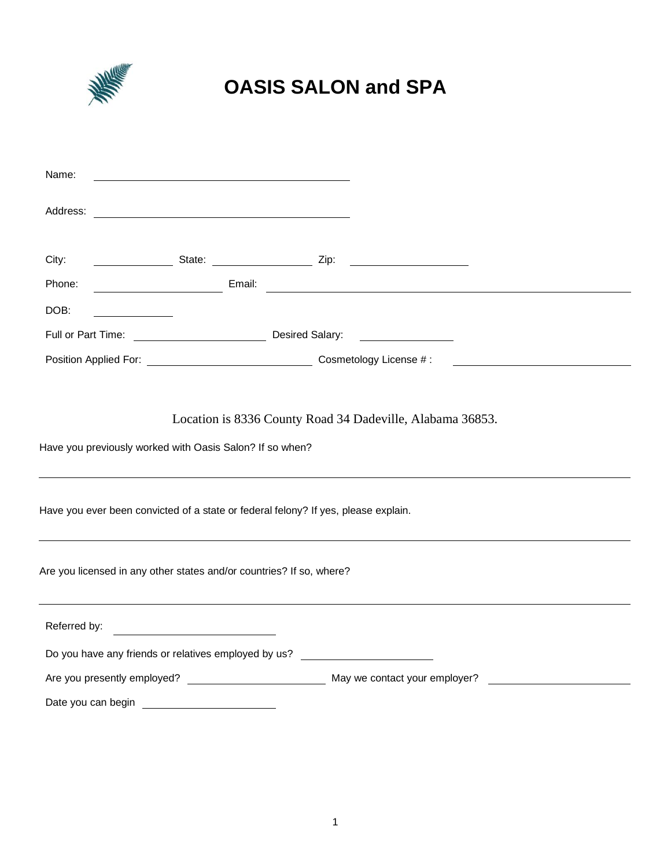

# **OASIS SALON and SPA**

| Name:        |                                                                                                                                                                                                                                      |                                                           |                                      |                                                     |  |
|--------------|--------------------------------------------------------------------------------------------------------------------------------------------------------------------------------------------------------------------------------------|-----------------------------------------------------------|--------------------------------------|-----------------------------------------------------|--|
| Address:     |                                                                                                                                                                                                                                      |                                                           |                                      |                                                     |  |
| City:        |                                                                                                                                                                                                                                      |                                                           |                                      |                                                     |  |
| Phone:       | <u>Email: Email: Email: Email: Email: Email: Email: Email: Email: Email: Email: Email: Email: Email: Email: Email: Email: Email: Email: Email: Email: Email: Email: Email: Email: Email: Email: Email: Email: Email: Email: Emai</u> |                                                           |                                      |                                                     |  |
| DOB:         |                                                                                                                                                                                                                                      |                                                           |                                      |                                                     |  |
|              |                                                                                                                                                                                                                                      |                                                           | <u> 1989 - Jan Sterling Sterling</u> |                                                     |  |
|              |                                                                                                                                                                                                                                      |                                                           |                                      | <u> 1980 - Andrea Station Barbara, amerikan per</u> |  |
|              | Have you previously worked with Oasis Salon? If so when?<br>Have you ever been convicted of a state or federal felony? If yes, please explain.                                                                                       | Location is 8336 County Road 34 Dadeville, Alabama 36853. |                                      |                                                     |  |
|              | Are you licensed in any other states and/or countries? If so, where?                                                                                                                                                                 |                                                           |                                      |                                                     |  |
| Referred by: | <u> 1980 - Jan Samuel Barbara, martin da shekara 1980 - An tsara 1980 - An tsara 1980 - An tsara 1980 - An tsara</u>                                                                                                                 |                                                           |                                      |                                                     |  |
|              | Do you have any friends or relatives employed by us? ___________________________                                                                                                                                                     |                                                           |                                      |                                                     |  |
|              |                                                                                                                                                                                                                                      |                                                           |                                      |                                                     |  |
|              |                                                                                                                                                                                                                                      |                                                           |                                      |                                                     |  |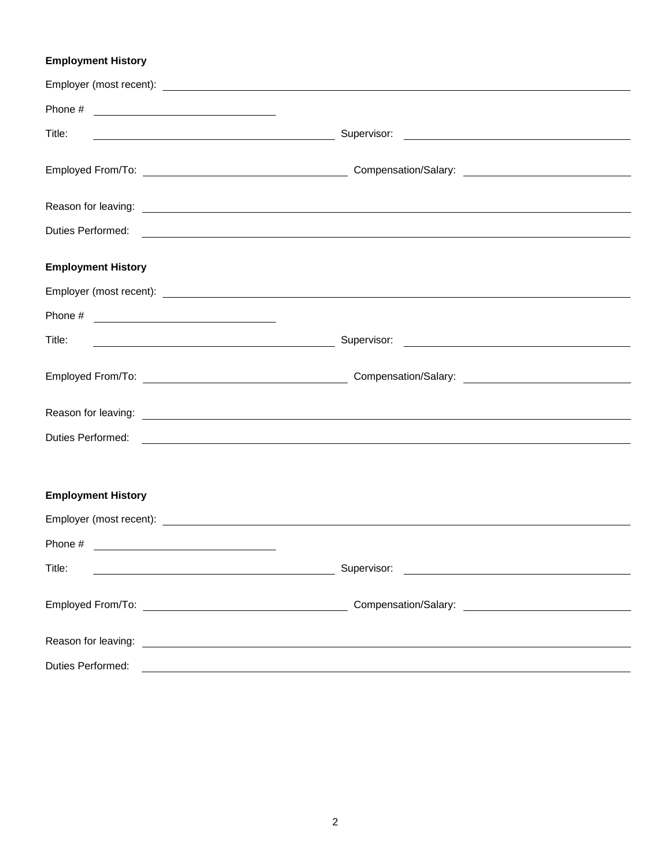## **Employment History**

| Title:                                                                                                                         |                                                                                                                                                                                                                                      |  |
|--------------------------------------------------------------------------------------------------------------------------------|--------------------------------------------------------------------------------------------------------------------------------------------------------------------------------------------------------------------------------------|--|
|                                                                                                                                |                                                                                                                                                                                                                                      |  |
|                                                                                                                                |                                                                                                                                                                                                                                      |  |
|                                                                                                                                |                                                                                                                                                                                                                                      |  |
| <b>Employment History</b>                                                                                                      |                                                                                                                                                                                                                                      |  |
|                                                                                                                                |                                                                                                                                                                                                                                      |  |
| Phone $\#$                                                                                                                     |                                                                                                                                                                                                                                      |  |
| Title:<br><u> 1989 - Johann Barn, fransk politik fotograf (d. 1989)</u>                                                        |                                                                                                                                                                                                                                      |  |
|                                                                                                                                |                                                                                                                                                                                                                                      |  |
|                                                                                                                                |                                                                                                                                                                                                                                      |  |
|                                                                                                                                | Duties Performed: <u>example and the contract of the contract of the contract of the contract of the contract of the contract of the contract of the contract of the contract of the contract of the contract of the contract of</u> |  |
|                                                                                                                                |                                                                                                                                                                                                                                      |  |
| <b>Employment History</b>                                                                                                      |                                                                                                                                                                                                                                      |  |
|                                                                                                                                |                                                                                                                                                                                                                                      |  |
| Phone # $\qquad \qquad$                                                                                                        |                                                                                                                                                                                                                                      |  |
| Title:<br><u> 1989 - Johann Barn, mars ann an t-Amhain Aonaich an t-Aonaich an t-Aonaich ann an t-Aonaich ann an t-Aonaich</u> | Supervisor:                                                                                                                                                                                                                          |  |
|                                                                                                                                |                                                                                                                                                                                                                                      |  |
|                                                                                                                                |                                                                                                                                                                                                                                      |  |
| Duties Performed:                                                                                                              | <u> 1989 - Johann Stoff, amerikansk politiker (d. 1989)</u>                                                                                                                                                                          |  |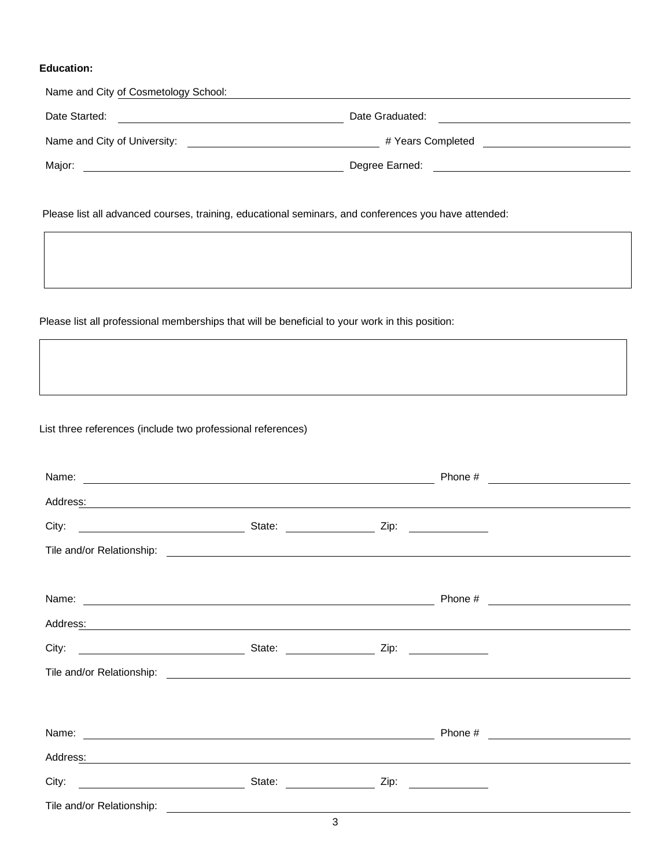#### **Education:**

| Name and City of Cosmetology School:                                                                 |                                      |
|------------------------------------------------------------------------------------------------------|--------------------------------------|
| Date Started:<br><u> 1989 - Jan Samuel Barbara, margaret e</u>                                       | Date Graduated:                      |
|                                                                                                      | # Years Completed __________________ |
| Major:                                                                                               |                                      |
|                                                                                                      |                                      |
| Please list all advanced courses, training, educational seminars, and conferences you have attended: |                                      |
|                                                                                                      |                                      |

## Please list all professional memberships that will be beneficial to your work in this position:

List three references (include two professional references)

|                                                                                                                                                                                                                                |  | Phone # | <u> 1989 - Andrea Station Books, amerikansk politik (</u> |  |
|--------------------------------------------------------------------------------------------------------------------------------------------------------------------------------------------------------------------------------|--|---------|-----------------------------------------------------------|--|
| Address: National Address: National Address: National Address: National Address: National Address: National Address: National Address: National Address: National Address: National Address: National Address: National Addres |  |         |                                                           |  |
|                                                                                                                                                                                                                                |  |         |                                                           |  |
|                                                                                                                                                                                                                                |  |         |                                                           |  |
|                                                                                                                                                                                                                                |  |         |                                                           |  |
| Name: Name:                                                                                                                                                                                                                    |  |         |                                                           |  |
| Address: Address: Address: Address: Address: Address: Address: Address: Address: Address: Address: Address: Address: Address: Address: Address: Address: Address: Address: Address: Address: Address: Address: Address: Addres |  |         |                                                           |  |
|                                                                                                                                                                                                                                |  |         |                                                           |  |
|                                                                                                                                                                                                                                |  |         |                                                           |  |
|                                                                                                                                                                                                                                |  |         |                                                           |  |
|                                                                                                                                                                                                                                |  |         |                                                           |  |
| Address: National Address: National Address: National Address: National Address: National Address: N                                                                                                                           |  |         |                                                           |  |
|                                                                                                                                                                                                                                |  |         |                                                           |  |
| Tile and/or Relationship:                                                                                                                                                                                                      |  |         |                                                           |  |

3